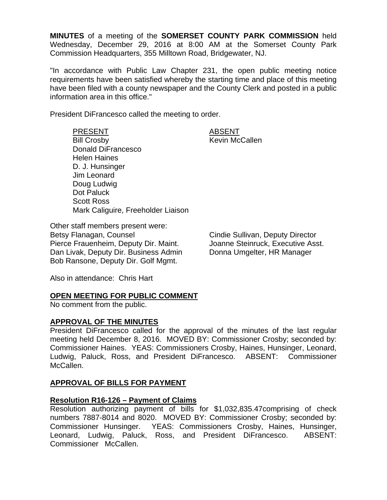**MINUTES** of a meeting of the **SOMERSET COUNTY PARK COMMISSION** held Wednesday, December 29, 2016 at 8:00 AM at the Somerset County Park Commission Headquarters, 355 Milltown Road, Bridgewater, NJ.

"In accordance with Public Law Chapter 231, the open public meeting notice requirements have been satisfied whereby the starting time and place of this meeting have been filed with a county newspaper and the County Clerk and posted in a public information area in this office."

President DiFrancesco called the meeting to order.

PRESENT ABSENT Bill Crosby **Kevin McCallen** Donald DiFrancesco Helen Haines D. J. Hunsinger Jim Leonard Doug Ludwig Dot Paluck Scott Ross Mark Caliguire, Freeholder Liaison

Other staff members present were: Betsy Flanagan, Counsel **Counsel Counsel Cindie Sullivan, Deputy Director** Pierce Frauenheim, Deputy Dir. Maint. **Joanne Steinruck, Executive Asst.** Dan Livak, Deputy Dir. Business Admin Donna Umgelter, HR Manager Bob Ransone, Deputy Dir. Golf Mgmt.

Also in attendance: Chris Hart

## **OPEN MEETING FOR PUBLIC COMMENT**

No comment from the public.

## **APPROVAL OF THE MINUTES**

President DiFrancesco called for the approval of the minutes of the last regular meeting held December 8, 2016. MOVED BY: Commissioner Crosby; seconded by: Commissioner Haines. YEAS: Commissioners Crosby, Haines, Hunsinger, Leonard, Ludwig, Paluck, Ross, and President DiFrancesco. ABSENT: Commissioner McCallen.

# **APPROVAL OF BILLS FOR PAYMENT**

## **Resolution R16-126 – Payment of Claims**

Resolution authorizing payment of bills for \$1,032,835.47comprising of check numbers 7887-8014 and 8020. MOVED BY: Commissioner Crosby; seconded by: Commissioner Hunsinger. YEAS: Commissioners Crosby, Haines, Hunsinger, Leonard, Ludwig, Paluck, Ross, and President DiFrancesco. ABSENT: Commissioner McCallen.